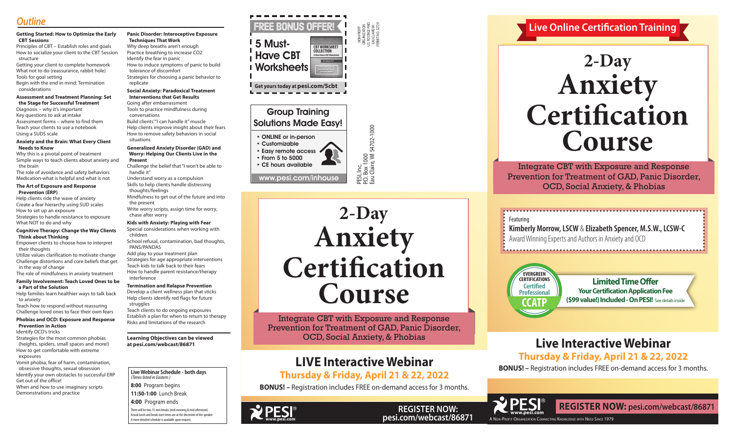NON-PROFIT ORGANIZATION U.S. POSTAGE PAID EAU CLAIRE WI PERMIT NO. 32729

P.O. Box 1000

Eau Claire, WI 54702-1000

## Group Training Solutions Made Easy!

- ONLINE or in-person
- Customizable • Easy remote access • From 5 to 5000

• CE hours available

www.pesi.com/inhouse

**Live Webinar Schedule - both days** *(Times listed in Eastern )*

**8:00** Program begins

**11:50-1:00** Lunch Break **4:00** Program ends

There will be two 15-min breaks (mid-morning & mid-afternoon). Actual lunch and break start times are at the discretion of the speaker. A more detailed schedule is available upon request.

Integrate CBT with Exposure and Response Prevention for Treatment of GAD, Panic Disorder, OCD, Social Anxiety, & Phobias

**Live Online Certification Training**

A Non-Profit Organization Connecting Knowledge with Need Since 1979

# **www.pesi.com**

**REGISTER NOW: pesi.com/webcast/86871**

# **Live Interactive Webinar Thursday & Friday, April 21 & 22, 2022**

**BONUS! –** Registration includes FREE on-demand access for 3 months.



## **Getting Started: How to Optimize the Early CBT Sessions**

Principles of CBT – Establish roles and goals How to socialize your client to the CBT Session structure

Getting your client to complete homework What not to do (reassurance, rabbit hole) Tools for goal setting Begin with the end in mind: Termination considerations

#### **Assessment and Treatment Planning: Set the Stage for Successful Treatment**

Diagnosis – why it's important Key questions to ask at intake Assessment forms – where to find them Teach your clients to use a notebook Using a SUDS scale

#### **Anxiety and the Brain: What Every Client Needs to Know**

Why this is a pivotal point of treatment Simple ways to teach clients about anxiety and the brain

The role of avoidance and safety behaviors Medication-what is helpful and what is not

#### **The Art of Exposure and Response Prevention (ERP)**

Help clients ride the wave of anxiety Create a fear hierarchy using SUD scales How to set up an exposure Strategies to handle resistance to exposure What NOT to do and why

#### **Cognitive Therapy: Change the Way Clients Think about Thinking**

Empower clients to choose how to interpret their thoughts

Utilize values clarification to motivate change Challenge distortions and core beliefs that get in the way of change

The role of mindfulness in anxiety treatment

#### **Family Involvement: Teach Loved Ones to be a Part of the Solution**

Help families learn healthier ways to talk back to anxiety

#### Teach how to respond without reassuring Challenge loved ones to face their own fears

## **Phobias and OCD: Exposure and Response Prevention in Action**

Identify OCD's tricks

Strategies for the most common phobias (heights, spiders, small spaces and more!) How to get comfortable with extreme exposures

Vomit phobia, fear of harm, contamination, obsessive thoughts, sexual obsession Identify your own obstacles to successful ERP Get out of the office! When and how to use imaginary scripts

Demonstrations and practice

#### **Panic Disorder: Interoceptive Exposure Techniques That Work**

Why deep breaths aren't enough Practice breathing to increase CO2 Identify the fear in panic How to induce symptoms of panic to build tolerance of discomfort Strategies for choosing a panic behavior to

 replicate **Social Anxiety: Paradoxical Treatment** 

 **Interventions that Get Results** Going after embarrassment

Tools to practice mindfulness during conversations

Build clients' "I can handle it" muscle Help clients improve insight about their fears How to remove safety behaviors in social situations

#### **Generalized Anxiety Disorder (GAD) and Worry: Helping Our Clients Live in the Present**

Challenge the belief that "I won't be able to handle it"

Understand worry as a compulsion Skills to help clients handle distressing thoughts/feelings

Mindfulness to get out of the future and into the present

Write worry scripts, assign time for worry, chase after worry

## **Kids with Anxiety: Playing with Fear**

Special considerations when working with children

School refusal, contamination, bad thoughts, PANS/PANDAS

Add play to your treatment plan

Strategies for age appropriate interventions Teach kids to talk back to their fears How to handle parent resistance/therapy interference

## **Termination and Relapse Prevention**

Develop a client wellness plan that sticks Help clients identify red flags for future struggles

Teach clients to do ongoing exposures Establish a plan for when to return to therapy Risks and limitations of the research

### **Learning Objectives can be viewed at pesi.com/webcast/86871**



**REGISTER NOW: pesi.com/webcast/86871**

## **LIVE Interactive Webinar Thursday & Friday, April 21 & 22, 2022**

**BONUS! –** Registration includes FREE on-demand access for 3 months.

# **2-Day Anxiety Certification Course**

PESI, Inc.<br>P.O. Box 1000<br>Eau Claire, Wl 54702-1000

# **2-Day Anxiety Certification Course**

**Limited Time Offer Your Certification Application Fee (\$99 value!) Included - On PESI!** See details inside





Integrate CBT with Exposure and Response Prevention for Treatment of GAD, Panic Disorder, OCD, Social Anxiety, & Phobias



**Kimberly Morrow, LSCW** & **Elizabeth Spencer, M.S.W., LCSW-C** Award Winning Experts and Authors in Anxiety and OCD

................................